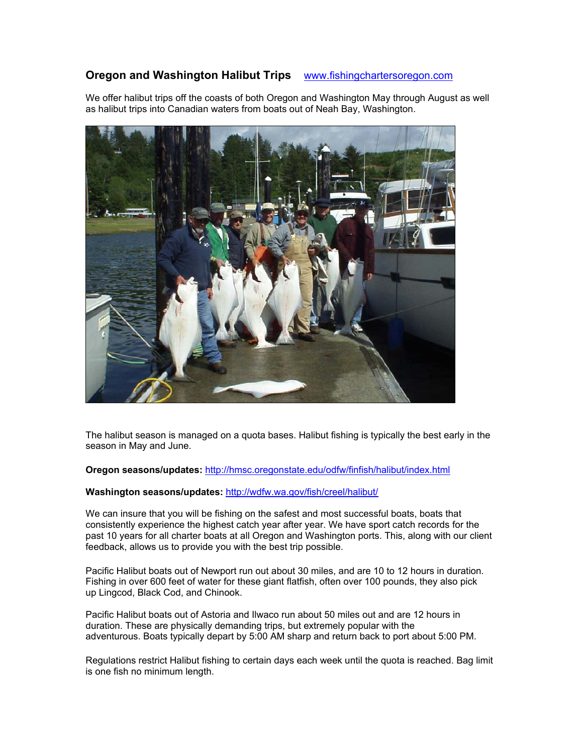# **Oregon and Washington Halibut Trips** www.fishingchartersoregon.com

We offer halibut trips off the coasts of both Oregon and Washington May through August as well as halibut trips into Canadian waters from boats out of Neah Bay, Washington.



The halibut season is managed on a quota bases. Halibut fishing is typically the best early in the season in May and June.

**Oregon seasons/updates:** http://hmsc.oregonstate.edu/odfw/finfish/halibut/index.html

## **Washington seasons/updates:** http://wdfw.wa.gov/fish/creel/halibut/

We can insure that you will be fishing on the safest and most successful boats, boats that consistently experience the highest catch year after year. We have sport catch records for the past 10 years for all charter boats at all Oregon and Washington ports. This, along with our client feedback, allows us to provide you with the best trip possible.

Pacific Halibut boats out of Newport run out about 30 miles, and are 10 to 12 hours in duration. Fishing in over 600 feet of water for these giant flatfish, often over 100 pounds, they also pick up Lingcod, Black Cod, and Chinook.

Pacific Halibut boats out of Astoria and Ilwaco run about 50 miles out and are 12 hours in duration. These are physically demanding trips, but extremely popular with the adventurous. Boats typically depart by 5:00 AM sharp and return back to port about 5:00 PM.

Regulations restrict Halibut fishing to certain days each week until the quota is reached. Bag limit is one fish no minimum length.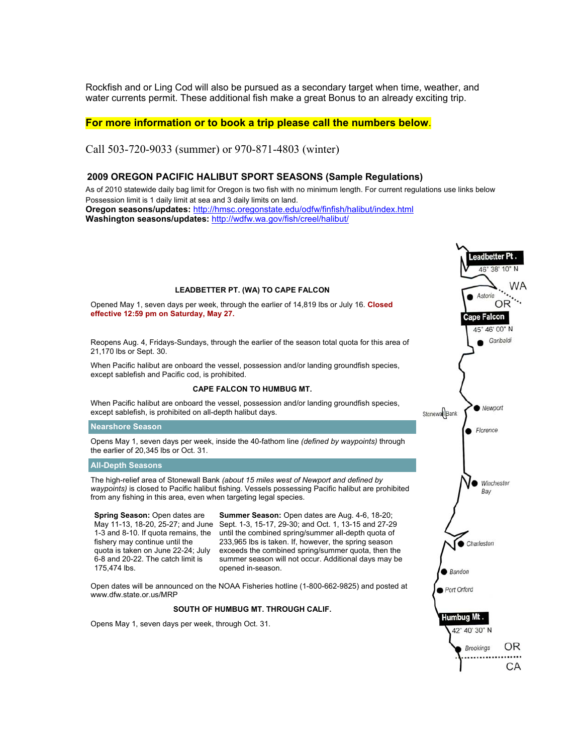Rockfish and or Ling Cod will also be pursued as a secondary target when time, weather, and water currents permit. These additional fish make a great Bonus to an already exciting trip.

## **For more information or to book a trip please call the numbers below**.

Call 503-720-9033 (summer) or 970-871-4803 (winter)

## **2009 OREGON PACIFIC HALIBUT SPORT SEASONS (Sample Regulations)**

As of 2010 statewide daily bag limit for Oregon is two fish with no minimum length. For current regulations use links below Possession limit is 1 daily limit at sea and 3 daily limits on land. **Oregon seasons/updates:** http://hmsc.oregonstate.edu/odfw/finfish/halibut/index.html **Washington seasons/updates:** http://wdfw.wa.gov/fish/creel/halibut/

### **LEADBETTER PT. (WA) TO CAPE FALCON**

Opened May 1, seven days per week, through the earlier of 14,819 lbs or July 16. **Closed effective 12:59 pm on Saturday, May 27.**

Reopens Aug. 4, Fridays-Sundays, through the earlier of the season total quota for this area of 21,170 lbs or Sept. 30.

When Pacific halibut are onboard the vessel, possession and/or landing groundfish species, except sablefish and Pacific cod, is prohibited.

#### **CAPE FALCON TO HUMBUG MT.**

When Pacific halibut are onboard the vessel, possession and/or landing groundfish species, except sablefish, is prohibited on all-depth halibut days.

#### **Nearshore Season**

Opens May 1, seven days per week, inside the 40-fathom line *(defined by waypoints)* through the earlier of 20,345 lbs or Oct. 31.

### **All-Depth Seasons**

The high-relief area of Stonewall Bank *(about 15 miles west of Newport and defined by waypoints)* is closed to Pacific halibut fishing. Vessels possessing Pacific halibut are prohibited from any fishing in this area, even when targeting legal species.

**Spring Season: Open dates are** 1-3 and 8-10. If quota remains, the fishery may continue until the quota is taken on June 22-24; July 6-8 and 20-22. The catch limit is 175,474 lbs.

May 11-13, 18-20, 25-27; and June Sept. 1-3, 15-17, 29-30; and Oct. 1, 13-15 and 27-29 **Summer Season:** Open dates are Aug. 4-6, 18-20; until the combined spring/summer all-depth quota of 233,965 lbs is taken. If, however, the spring season exceeds the combined spring/summer quota, then the summer season will not occur. Additional days may be opened in-season.

Open dates will be announced on the NOAA Fisheries hotline (1-800-662-9825) and posted at www.dfw.state.or.us/MRP

### **SOUTH OF HUMBUG MT. THROUGH CALIF.**

Opens May 1, seven days per week, through Oct. 31.

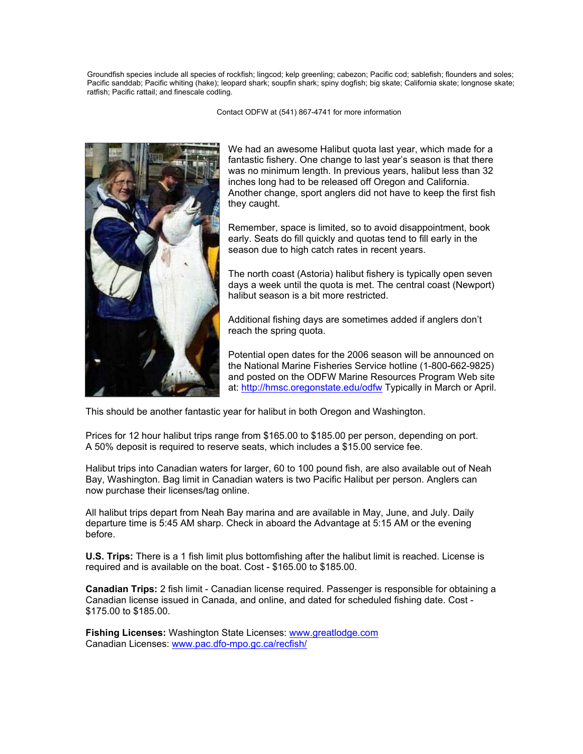Groundfish species include all species of rockfish; lingcod; kelp greenling; cabezon; Pacific cod; sablefish; flounders and soles; Pacific sanddab; Pacific whiting (hake); leopard shark; soupfin shark; spiny dogfish; big skate; California skate; longnose skate; ratfish; Pacific rattail; and finescale codling.

Contact ODFW at (541) 867-4741 for more information



We had an awesome Halibut quota last year, which made for a fantastic fishery. One change to last year's season is that there was no minimum length. In previous years, halibut less than 32 inches long had to be released off Oregon and California. Another change, sport anglers did not have to keep the first fish they caught.

Remember, space is limited, so to avoid disappointment, book early. Seats do fill quickly and quotas tend to fill early in the season due to high catch rates in recent years.

The north coast (Astoria) halibut fishery is typically open seven days a week until the quota is met. The central coast (Newport) halibut season is a bit more restricted.

Additional fishing days are sometimes added if anglers don't reach the spring quota.

Potential open dates for the 2006 season will be announced on the National Marine Fisheries Service hotline (1-800-662-9825) and posted on the ODFW Marine Resources Program Web site at: http://hmsc.oregonstate.edu/odfw Typically in March or April.

This should be another fantastic year for halibut in both Oregon and Washington.

Prices for 12 hour halibut trips range from \$165.00 to \$185.00 per person, depending on port. A 50% deposit is required to reserve seats, which includes a \$15.00 service fee.

Halibut trips into Canadian waters for larger, 60 to 100 pound fish, are also available out of Neah Bay, Washington. Bag limit in Canadian waters is two Pacific Halibut per person. Anglers can now purchase their licenses/tag online.

All halibut trips depart from Neah Bay marina and are available in May, June, and July. Daily departure time is 5:45 AM sharp. Check in aboard the Advantage at 5:15 AM or the evening before.

**U.S. Trips:** There is a 1 fish limit plus bottomfishing after the halibut limit is reached. License is required and is available on the boat. Cost - \$165.00 to \$185.00.

**Canadian Trips:** 2 fish limit - Canadian license required. Passenger is responsible for obtaining a Canadian license issued in Canada, and online, and dated for scheduled fishing date. Cost - \$175.00 to \$185.00.

**Fishing Licenses:** Washington State Licenses: www.greatlodge.com Canadian Licenses: www.pac.dfo-mpo.gc.ca/recfish/